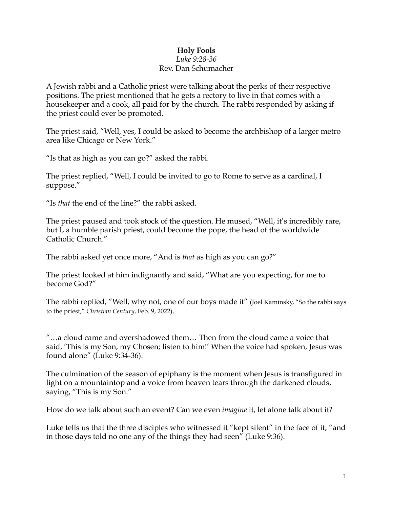## **Holy Fools**

## *Luke 9:28-36* Rev. Dan Schumacher

A Jewish rabbi and a Catholic priest were talking about the perks of their respective positions. The priest mentioned that he gets a rectory to live in that comes with a housekeeper and a cook, all paid for by the church. The rabbi responded by asking if the priest could ever be promoted.

The priest said, "Well, yes, I could be asked to become the archbishop of a larger metro area like Chicago or New York."

"Is that as high as you can go?" asked the rabbi.

The priest replied, "Well, I could be invited to go to Rome to serve as a cardinal, I suppose."

"Is *that* the end of the line?" the rabbi asked.

The priest paused and took stock of the question. He mused, "Well, it's incredibly rare, but I, a humble parish priest, could become the pope, the head of the worldwide Catholic Church."

The rabbi asked yet once more, "And is *that* as high as you can go?"

The priest looked at him indignantly and said, "What are you expecting, for me to become God?"

The rabbi replied, "Well, why not, one of our boys made it" (Joel Kaminsky, "So the rabbi says to the priest," *Christian Century*, Feb. 9, 2022).

"…a cloud came and overshadowed them… Then from the cloud came a voice that said, 'This is my Son, my Chosen; listen to him!' When the voice had spoken, Jesus was found alone" (Luke 9:34-36).

The culmination of the season of epiphany is the moment when Jesus is transfigured in light on a mountaintop and a voice from heaven tears through the darkened clouds, saying, "This is my Son."

How do we talk about such an event? Can we even *imagine* it, let alone talk about it?

Luke tells us that the three disciples who witnessed it "kept silent" in the face of it, "and in those days told no one any of the things they had seen" (Luke 9:36).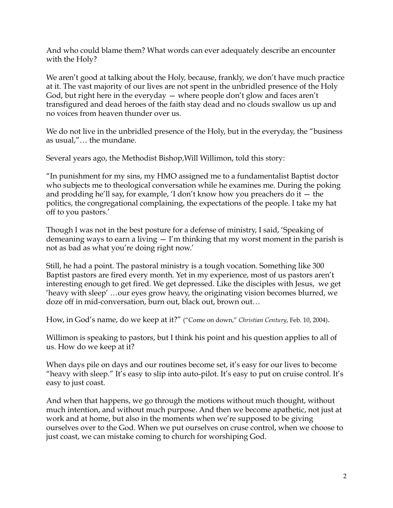And who could blame them? What words can ever adequately describe an encounter with the Holy?

We aren't good at talking about the Holy, because, frankly, we don't have much practice at it. The vast majority of our lives are not spent in the unbridled presence of the Holy God, but right here in the everyday — where people don't glow and faces aren't transfigured and dead heroes of the faith stay dead and no clouds swallow us up and no voices from heaven thunder over us.

We do not live in the unbridled presence of the Holy, but in the everyday, the "business" as usual,"… the mundane.

Several years ago, the Methodist Bishop,Will Willimon, told this story:

"In punishment for my sins, my HMO assigned me to a fundamentalist Baptist doctor who subjects me to theological conversation while he examines me. During the poking and prodding he'll say, for example, 'I don't know how you preachers do it — the politics, the congregational complaining, the expectations of the people. I take my hat off to you pastors.'

Though I was not in the best posture for a defense of ministry, I said, 'Speaking of demeaning ways to earn a living  $-$  I'm thinking that my worst moment in the parish is not as bad as what you're doing right now.'

Still, he had a point. The pastoral ministry is a tough vocation. Something like 300 Baptist pastors are fired every month. Yet in my experience, most of us pastors aren't interesting enough to get fired. We get depressed. Like the disciples with Jesus, we get 'heavy with sleep' …our eyes grow heavy, the originating vision becomes blurred, we doze off in mid-conversation, burn out, black out, brown out…

How, in God's name, do we keep at it?" ("Come on down," *Christian Century*, Feb. 10, 2004).

Willimon is speaking to pastors, but I think his point and his question applies to all of us. How do we keep at it?

When days pile on days and our routines become set, it's easy for our lives to become "heavy with sleep." It's easy to slip into auto-pilot. It's easy to put on cruise control. It's easy to just coast.

And when that happens, we go through the motions without much thought, without much intention, and without much purpose. And then we become apathetic, not just at work and at home, but also in the moments when we're supposed to be giving ourselves over to the God. When we put ourselves on cruse control, when we choose to just coast, we can mistake coming to church for worshiping God.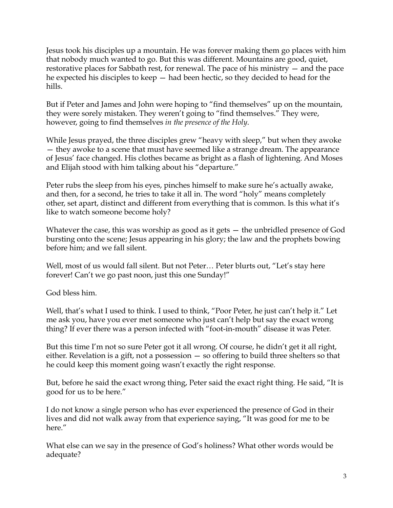Jesus took his disciples up a mountain. He was forever making them go places with him that nobody much wanted to go. But this was different. Mountains are good, quiet, restorative places for Sabbath rest, for renewal. The pace of his ministry — and the pace he expected his disciples to keep — had been hectic, so they decided to head for the hills.

But if Peter and James and John were hoping to "find themselves" up on the mountain, they were sorely mistaken. They weren't going to "find themselves." They were, however, going to find themselves *in the presence of the Holy*.

While Jesus prayed, the three disciples grew "heavy with sleep," but when they awoke — they awoke to a scene that must have seemed like a strange dream. The appearance of Jesus' face changed. His clothes became as bright as a flash of lightening. And Moses and Elijah stood with him talking about his "departure."

Peter rubs the sleep from his eyes, pinches himself to make sure he's actually awake, and then, for a second, he tries to take it all in. The word "holy" means completely other, set apart, distinct and different from everything that is common. Is this what it's like to watch someone become holy?

Whatever the case, this was worship as good as it gets – the unbridled presence of God bursting onto the scene; Jesus appearing in his glory; the law and the prophets bowing before him; and we fall silent.

Well, most of us would fall silent. But not Peter... Peter blurts out, "Let's stay here forever! Can't we go past noon, just this one Sunday!"

God bless him.

Well, that's what I used to think. I used to think, "Poor Peter, he just can't help it." Let me ask you, have you ever met someone who just can't help but say the exact wrong thing? If ever there was a person infected with "foot-in-mouth" disease it was Peter.

But this time I'm not so sure Peter got it all wrong. Of course, he didn't get it all right, either. Revelation is a gift, not a possession — so offering to build three shelters so that he could keep this moment going wasn't exactly the right response.

But, before he said the exact wrong thing, Peter said the exact right thing. He said, "It is good for us to be here."

I do not know a single person who has ever experienced the presence of God in their lives and did not walk away from that experience saying, "It was good for me to be here."

What else can we say in the presence of God's holiness? What other words would be adequate?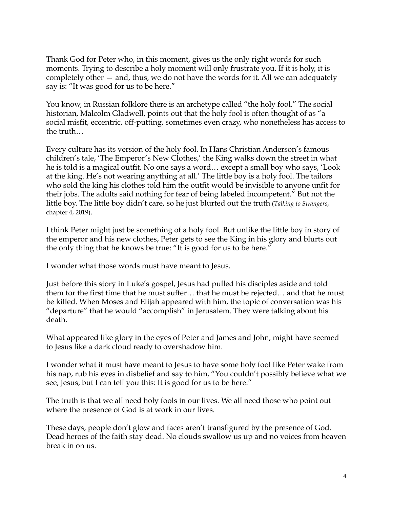Thank God for Peter who, in this moment, gives us the only right words for such moments. Trying to describe a holy moment will only frustrate you. If it is holy, it is completely other — and, thus, we do not have the words for it. All we can adequately say is: "It was good for us to be here."

You know, in Russian folklore there is an archetype called "the holy fool." The social historian, Malcolm Gladwell, points out that the holy fool is often thought of as "a social misfit, eccentric, off-putting, sometimes even crazy, who nonetheless has access to the truth…

Every culture has its version of the holy fool. In Hans Christian Anderson's famous children's tale, 'The Emperor's New Clothes,' the King walks down the street in what he is told is a magical outfit. No one says a word… except a small boy who says, 'Look at the king. He's not wearing anything at all.' The little boy is a holy fool. The tailors who sold the king his clothes told him the outfit would be invisible to anyone unfit for their jobs. The adults said nothing for fear of being labeled incompetent." But not the little boy. The little boy didn't care, so he just blurted out the truth (*Talking to Strangers*, chapter 4, 2019).

I think Peter might just be something of a holy fool. But unlike the little boy in story of the emperor and his new clothes, Peter gets to see the King in his glory and blurts out the only thing that he knows be true: "It is good for us to be here."

I wonder what those words must have meant to Jesus.

Just before this story in Luke's gospel, Jesus had pulled his disciples aside and told them for the first time that he must suffer… that he must be rejected… and that he must be killed. When Moses and Elijah appeared with him, the topic of conversation was his "departure" that he would "accomplish" in Jerusalem. They were talking about his death.

What appeared like glory in the eyes of Peter and James and John, might have seemed to Jesus like a dark cloud ready to overshadow him.

I wonder what it must have meant to Jesus to have some holy fool like Peter wake from his nap, rub his eyes in disbelief and say to him, "You couldn't possibly believe what we see, Jesus, but I can tell you this: It is good for us to be here."

The truth is that we all need holy fools in our lives. We all need those who point out where the presence of God is at work in our lives.

These days, people don't glow and faces aren't transfigured by the presence of God. Dead heroes of the faith stay dead. No clouds swallow us up and no voices from heaven break in on us.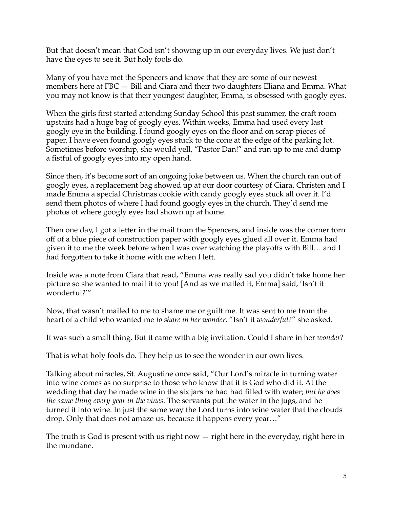But that doesn't mean that God isn't showing up in our everyday lives. We just don't have the eyes to see it. But holy fools do.

Many of you have met the Spencers and know that they are some of our newest members here at FBC — Bill and Ciara and their two daughters Eliana and Emma. What you may not know is that their youngest daughter, Emma, is obsessed with googly eyes.

When the girls first started attending Sunday School this past summer, the craft room upstairs had a huge bag of googly eyes. Within weeks, Emma had used every last googly eye in the building. I found googly eyes on the floor and on scrap pieces of paper. I have even found googly eyes stuck to the cone at the edge of the parking lot. Sometimes before worship, she would yell, "Pastor Dan!" and run up to me and dump a fistful of googly eyes into my open hand.

Since then, it's become sort of an ongoing joke between us. When the church ran out of googly eyes, a replacement bag showed up at our door courtesy of Ciara. Christen and I made Emma a special Christmas cookie with candy googly eyes stuck all over it. I'd send them photos of where I had found googly eyes in the church. They'd send me photos of where googly eyes had shown up at home.

Then one day, I got a letter in the mail from the Spencers, and inside was the corner torn off of a blue piece of construction paper with googly eyes glued all over it. Emma had given it to me the week before when I was over watching the playoffs with Bill… and I had forgotten to take it home with me when I left.

Inside was a note from Ciara that read, "Emma was really sad you didn't take home her picture so she wanted to mail it to you! [And as we mailed it, Emma] said, 'Isn't it wonderful?'"

Now, that wasn't mailed to me to shame me or guilt me. It was sent to me from the heart of a child who wanted me *to share in her wonder*. "Isn't it *wonderful*?" she asked.

It was such a small thing. But it came with a big invitation. Could I share in her *wonder*?

That is what holy fools do. They help us to see the wonder in our own lives.

Talking about miracles, St. Augustine once said, "Our Lord's miracle in turning water into wine comes as no surprise to those who know that it is God who did it. At the wedding that day he made wine in the six jars he had had filled with water; *but he does the same thing every year in the vines*. The servants put the water in the jugs, and he turned it into wine. In just the same way the Lord turns into wine water that the clouds drop. Only that does not amaze us, because it happens every year…"

The truth is God is present with us right now — right here in the everyday, right here in the mundane.